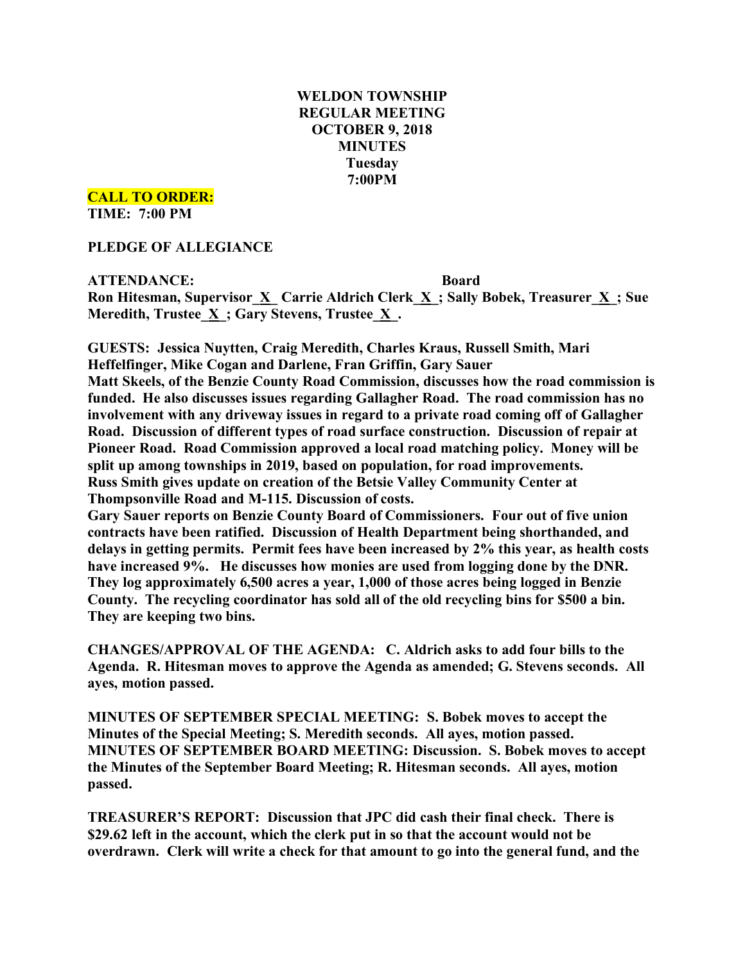# **WELDON TOWNSHIP REGULAR MEETING OCTOBER 9, 2018 MINUTES Tuesday 7:00PM**

**CALL TO ORDER:**

**TIME: 7:00 PM**

**PLEDGE OF ALLEGIANCE**

**ATTENDANCE: Board Ron Hitesman, Supervisor**  $\underline{X}$  **<b>Carrie Aldrich Clerk**  $\underline{X}$ ; **Sally** Bobek, Treasurer  $\underline{X}$ ; Sue **Meredith, Trustee**  $\underline{X}$ **; Gary Stevens, Trustee**  $\underline{X}$ **.** 

**GUESTS: Jessica Nuytten, Craig Meredith, Charles Kraus, Russell Smith, Mari Heffelfinger, Mike Cogan and Darlene, Fran Griffin, Gary Sauer Matt Skeels, of the Benzie County Road Commission, discusses how the road commission is funded. He also discusses issues regarding Gallagher Road. The road commission has no involvement with any driveway issues in regard to a private road coming off of Gallagher Road. Discussion of different types of road surface construction. Discussion of repair at Pioneer Road. Road Commission approved a local road matching policy. Money will be split up among townships in 2019, based on population, for road improvements. Russ Smith gives update on creation of the Betsie Valley Community Center at Thompsonville Road and M-115. Discussion of costs.**

**Gary Sauer reports on Benzie County Board of Commissioners. Four out of five union contracts have been ratified. Discussion of Health Department being shorthanded, and delays in getting permits. Permit fees have been increased by 2% this year, as health costs have increased 9%. He discusses how monies are used from logging done by the DNR. They log approximately 6,500 acres a year, 1,000 of those acres being logged in Benzie County. The recycling coordinator has sold all of the old recycling bins for \$500 a bin. They are keeping two bins.**

**CHANGES/APPROVAL OF THE AGENDA: C. Aldrich asks to add four bills to the Agenda. R. Hitesman moves to approve the Agenda as amended; G. Stevens seconds. All ayes, motion passed.**

**MINUTES OF SEPTEMBER SPECIAL MEETING: S. Bobek moves to accept the Minutes of the Special Meeting; S. Meredith seconds. All ayes, motion passed. MINUTES OF SEPTEMBER BOARD MEETING: Discussion. S. Bobek moves to accept the Minutes of the September Board Meeting; R. Hitesman seconds. All ayes, motion passed.**

**TREASURER'S REPORT: Discussion that JPC did cash their final check. There is \$29.62 left in the account, which the clerk put in so that the account would not be overdrawn. Clerk will write a check for that amount to go into the general fund, and the**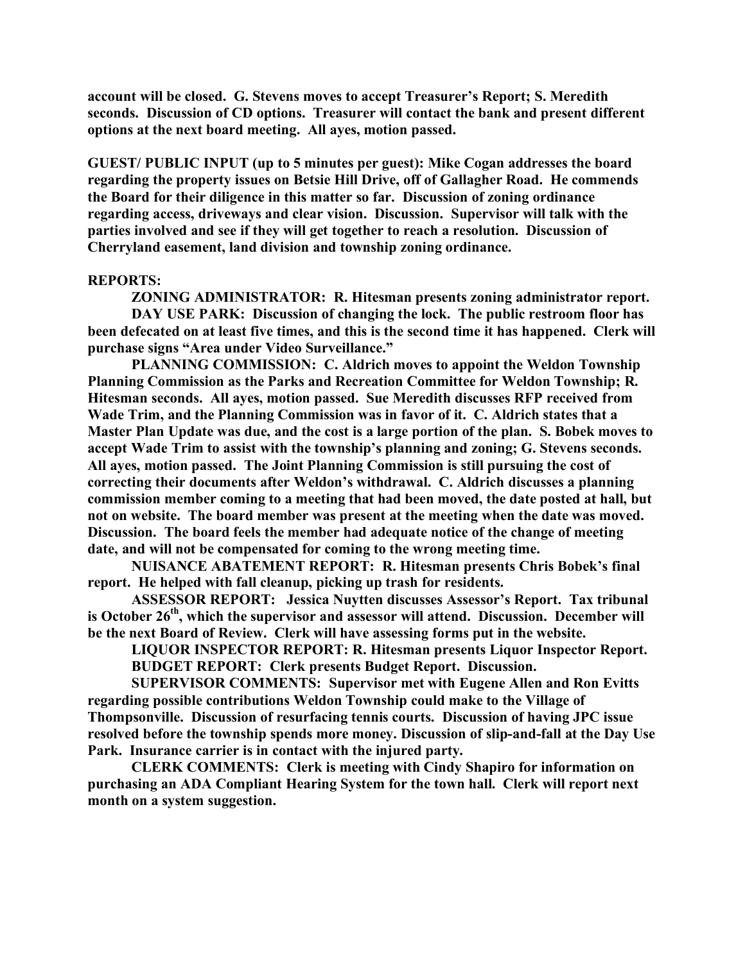**account will be closed. G. Stevens moves to accept Treasurer's Report; S. Meredith seconds. Discussion of CD options. Treasurer will contact the bank and present different options at the next board meeting. All ayes, motion passed.**

**GUEST/ PUBLIC INPUT (up to 5 minutes per guest): Mike Cogan addresses the board regarding the property issues on Betsie Hill Drive, off of Gallagher Road. He commends the Board for their diligence in this matter so far. Discussion of zoning ordinance regarding access, driveways and clear vision. Discussion. Supervisor will talk with the parties involved and see if they will get together to reach a resolution. Discussion of Cherryland easement, land division and township zoning ordinance.**

#### **REPORTS:**

**ZONING ADMINISTRATOR: R. Hitesman presents zoning administrator report. DAY USE PARK: Discussion of changing the lock. The public restroom floor has been defecated on at least five times, and this is the second time it has happened. Clerk will purchase signs "Area under Video Surveillance."** 

**PLANNING COMMISSION: C. Aldrich moves to appoint the Weldon Township Planning Commission as the Parks and Recreation Committee for Weldon Township; R. Hitesman seconds. All ayes, motion passed. Sue Meredith discusses RFP received from Wade Trim, and the Planning Commission was in favor of it. C. Aldrich states that a Master Plan Update was due, and the cost is a large portion of the plan. S. Bobek moves to accept Wade Trim to assist with the township's planning and zoning; G. Stevens seconds. All ayes, motion passed. The Joint Planning Commission is still pursuing the cost of correcting their documents after Weldon's withdrawal. C. Aldrich discusses a planning commission member coming to a meeting that had been moved, the date posted at hall, but not on website. The board member was present at the meeting when the date was moved. Discussion. The board feels the member had adequate notice of the change of meeting date, and will not be compensated for coming to the wrong meeting time.**

**NUISANCE ABATEMENT REPORT: R. Hitesman presents Chris Bobek's final report. He helped with fall cleanup, picking up trash for residents.**

**ASSESSOR REPORT: Jessica Nuytten discusses Assessor's Report. Tax tribunal is October 26th, which the supervisor and assessor will attend. Discussion. December will be the next Board of Review. Clerk will have assessing forms put in the website.**

**LIQUOR INSPECTOR REPORT: R. Hitesman presents Liquor Inspector Report. BUDGET REPORT: Clerk presents Budget Report. Discussion.**

**SUPERVISOR COMMENTS: Supervisor met with Eugene Allen and Ron Evitts regarding possible contributions Weldon Township could make to the Village of Thompsonville. Discussion of resurfacing tennis courts. Discussion of having JPC issue resolved before the township spends more money. Discussion of slip-and-fall at the Day Use Park. Insurance carrier is in contact with the injured party.**

**CLERK COMMENTS: Clerk is meeting with Cindy Shapiro for information on purchasing an ADA Compliant Hearing System for the town hall. Clerk will report next month on a system suggestion.**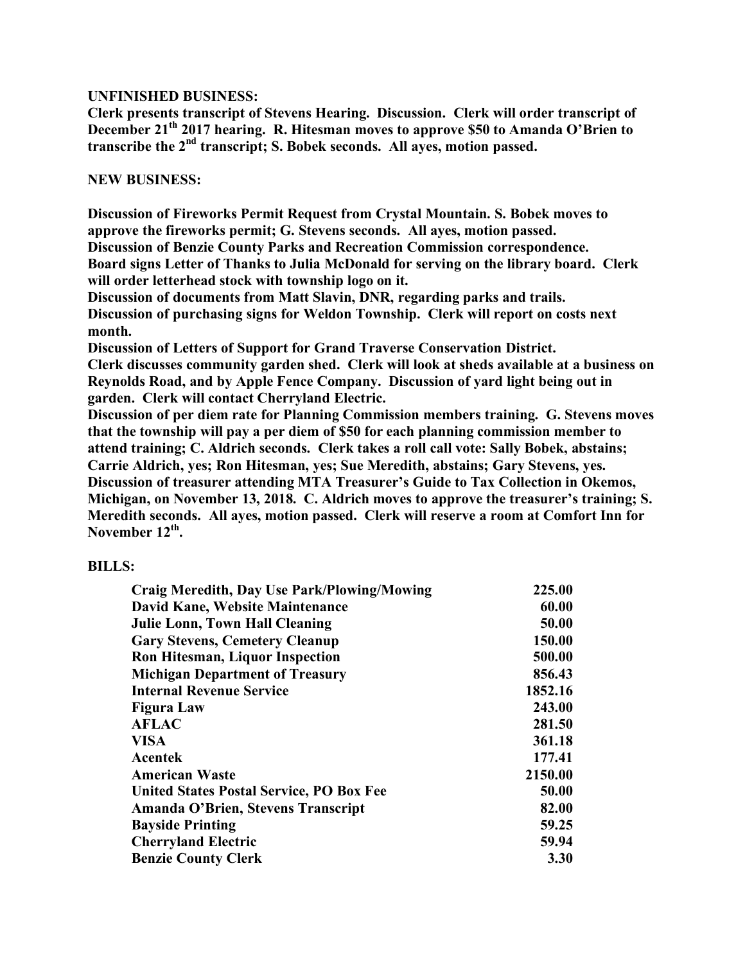## **UNFINISHED BUSINESS:**

**Clerk presents transcript of Stevens Hearing. Discussion. Clerk will order transcript of December 21th 2017 hearing. R. Hitesman moves to approve \$50 to Amanda O'Brien to transcribe the 2nd transcript; S. Bobek seconds. All ayes, motion passed.**

### **NEW BUSINESS:**

**Discussion of Fireworks Permit Request from Crystal Mountain. S. Bobek moves to approve the fireworks permit; G. Stevens seconds. All ayes, motion passed.**

**Discussion of Benzie County Parks and Recreation Commission correspondence. Board signs Letter of Thanks to Julia McDonald for serving on the library board. Clerk will order letterhead stock with township logo on it.**

**Discussion of documents from Matt Slavin, DNR, regarding parks and trails. Discussion of purchasing signs for Weldon Township. Clerk will report on costs next month.**

**Discussion of Letters of Support for Grand Traverse Conservation District. Clerk discusses community garden shed. Clerk will look at sheds available at a business on Reynolds Road, and by Apple Fence Company. Discussion of yard light being out in garden. Clerk will contact Cherryland Electric.**

**Discussion of per diem rate for Planning Commission members training. G. Stevens moves that the township will pay a per diem of \$50 for each planning commission member to attend training; C. Aldrich seconds. Clerk takes a roll call vote: Sally Bobek, abstains; Carrie Aldrich, yes; Ron Hitesman, yes; Sue Meredith, abstains; Gary Stevens, yes. Discussion of treasurer attending MTA Treasurer's Guide to Tax Collection in Okemos, Michigan, on November 13, 2018. C. Aldrich moves to approve the treasurer's training; S. Meredith seconds. All ayes, motion passed. Clerk will reserve a room at Comfort Inn for November 12th.**

#### **BILLS:**

| <b>Craig Meredith, Day Use Park/Plowing/Mowing</b> | 225.00  |
|----------------------------------------------------|---------|
| David Kane, Website Maintenance                    | 60.00   |
| <b>Julie Lonn, Town Hall Cleaning</b>              | 50.00   |
| <b>Gary Stevens, Cemetery Cleanup</b>              | 150.00  |
| <b>Ron Hitesman, Liquor Inspection</b>             | 500.00  |
| <b>Michigan Department of Treasury</b>             | 856.43  |
| <b>Internal Revenue Service</b>                    | 1852.16 |
| <b>Figura Law</b>                                  | 243.00  |
| <b>AFLAC</b>                                       | 281.50  |
| <b>VISA</b>                                        | 361.18  |
| <b>Acentek</b>                                     | 177.41  |
| <b>American Waste</b>                              | 2150.00 |
| <b>United States Postal Service, PO Box Fee</b>    | 50.00   |
| Amanda O'Brien, Stevens Transcript                 | 82.00   |
| <b>Bayside Printing</b>                            | 59.25   |
| <b>Cherryland Electric</b>                         | 59.94   |
| <b>Benzie County Clerk</b>                         | 3.30    |